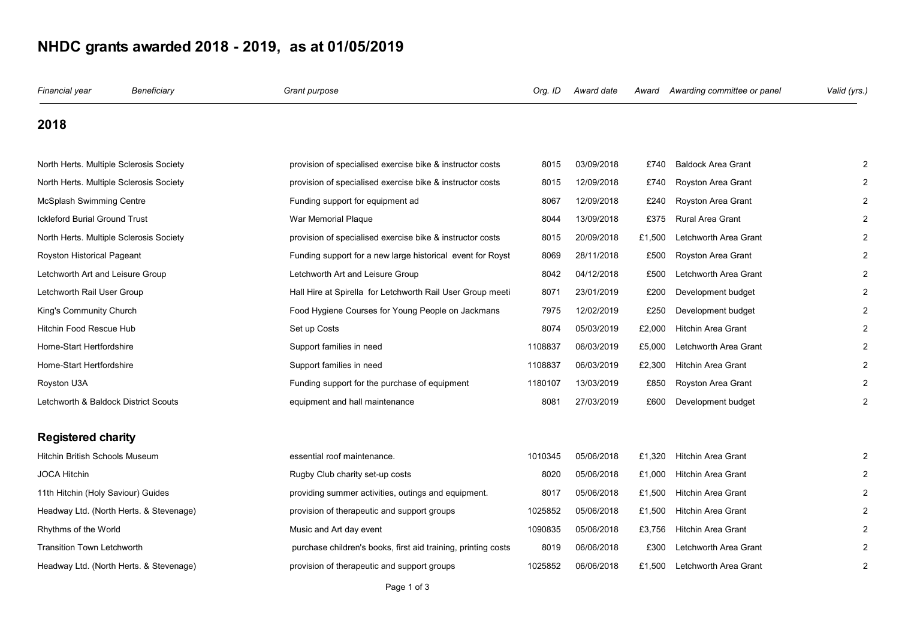## **NHDC grants awarded 2018 - 2019, as at 01/05/2019**

| Financial year                          | Beneficiary                             | Grant purpose                                                 | Org. ID | Award date |        | Award Awarding committee or panel | Valid (yrs.)   |
|-----------------------------------------|-----------------------------------------|---------------------------------------------------------------|---------|------------|--------|-----------------------------------|----------------|
| 2018                                    |                                         |                                                               |         |            |        |                                   |                |
| North Herts. Multiple Sclerosis Society |                                         | provision of specialised exercise bike & instructor costs     | 8015    | 03/09/2018 | £740   | <b>Baldock Area Grant</b>         |                |
| North Herts. Multiple Sclerosis Society |                                         | provision of specialised exercise bike & instructor costs     | 8015    | 12/09/2018 | £740   | Royston Area Grant                |                |
| <b>McSplash Swimming Centre</b>         |                                         | Funding support for equipment ad                              | 8067    | 12/09/2018 | £240   | Royston Area Grant                |                |
| <b>Ickleford Burial Ground Trust</b>    |                                         | War Memorial Plaque                                           | 8044    | 13/09/2018 | £375   | <b>Rural Area Grant</b>           |                |
| North Herts. Multiple Sclerosis Society |                                         | provision of specialised exercise bike & instructor costs     | 8015    | 20/09/2018 | £1,500 | Letchworth Area Grant             |                |
| Royston Historical Pageant              |                                         | Funding support for a new large historical event for Royst    | 8069    | 28/11/2018 | £500   | Royston Area Grant                |                |
| Letchworth Art and Leisure Group        |                                         | Letchworth Art and Leisure Group                              | 8042    | 04/12/2018 | £500   | Letchworth Area Grant             |                |
| Letchworth Rail User Group              |                                         | Hall Hire at Spirella for Letchworth Rail User Group meeti    | 8071    | 23/01/2019 | £200   | Development budget                |                |
| King's Community Church                 |                                         | Food Hygiene Courses for Young People on Jackmans             | 7975    | 12/02/2019 | £250   | Development budget                |                |
| <b>Hitchin Food Rescue Hub</b>          |                                         | Set up Costs                                                  | 8074    | 05/03/2019 | £2,000 | <b>Hitchin Area Grant</b>         |                |
| Home-Start Hertfordshire                |                                         | Support families in need                                      | 1108837 | 06/03/2019 | £5,000 | Letchworth Area Grant             |                |
| Home-Start Hertfordshire                |                                         | Support families in need                                      | 1108837 | 06/03/2019 | £2,300 | <b>Hitchin Area Grant</b>         |                |
| Royston U3A                             |                                         | Funding support for the purchase of equipment                 | 1180107 | 13/03/2019 | £850   | Royston Area Grant                |                |
| Letchworth & Baldock District Scouts    |                                         | equipment and hall maintenance                                | 8081    | 27/03/2019 | £600   | Development budget                |                |
| <b>Registered charity</b>               |                                         |                                                               |         |            |        |                                   |                |
| Hitchin British Schools Museum          |                                         | essential roof maintenance.                                   | 1010345 | 05/06/2018 | £1,320 | <b>Hitchin Area Grant</b>         |                |
| <b>JOCA Hitchin</b>                     |                                         | Rugby Club charity set-up costs                               | 8020    | 05/06/2018 | £1,000 | <b>Hitchin Area Grant</b>         |                |
| 11th Hitchin (Holy Saviour) Guides      |                                         | providing summer activities, outings and equipment.           | 8017    | 05/06/2018 | £1,500 | <b>Hitchin Area Grant</b>         |                |
|                                         | Headway Ltd. (North Herts. & Stevenage) | provision of therapeutic and support groups                   | 1025852 | 05/06/2018 | £1,500 | <b>Hitchin Area Grant</b>         |                |
| Rhythms of the World                    |                                         | Music and Art day event                                       | 1090835 | 05/06/2018 | £3,756 | <b>Hitchin Area Grant</b>         |                |
| <b>Transition Town Letchworth</b>       |                                         | purchase children's books, first aid training, printing costs | 8019    | 06/06/2018 | £300   | Letchworth Area Grant             |                |
|                                         | Headway Ltd. (North Herts. & Stevenage) | provision of therapeutic and support groups                   | 1025852 | 06/06/2018 | £1.500 | Letchworth Area Grant             | $\overline{2}$ |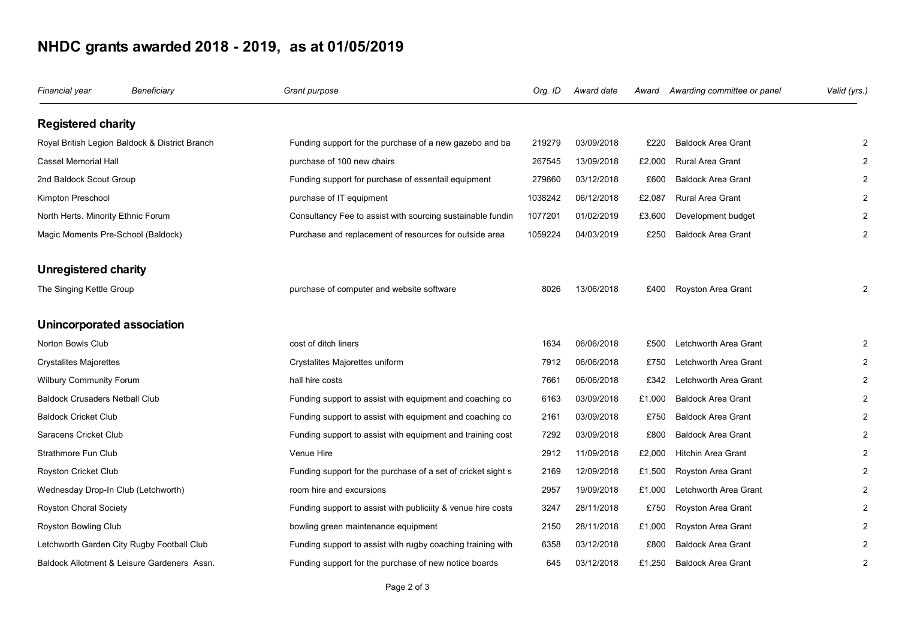## **NHDC grants awarded 2018 - 2019, as at 01/05/2019**

| Financial year                                 | Beneficiary                                 | Grant purpose                                                | Org. ID | Award date | Award  | Awarding committee or panel | Valid (yrs.) |
|------------------------------------------------|---------------------------------------------|--------------------------------------------------------------|---------|------------|--------|-----------------------------|--------------|
| <b>Registered charity</b>                      |                                             |                                                              |         |            |        |                             |              |
| Royal British Legion Baldock & District Branch |                                             | Funding support for the purchase of a new gazebo and ba      | 219279  | 03/09/2018 | £220   | <b>Baldock Area Grant</b>   |              |
| Cassel Memorial Hall                           |                                             | purchase of 100 new chairs                                   | 267545  | 13/09/2018 | £2,000 | Rural Area Grant            |              |
| 2nd Baldock Scout Group                        |                                             | Funding support for purchase of essentail equipment          | 279860  | 03/12/2018 | £600   | <b>Baldock Area Grant</b>   |              |
| Kimpton Preschool                              |                                             | purchase of IT equipment                                     | 1038242 | 06/12/2018 | £2,087 | Rural Area Grant            |              |
| North Herts. Minority Ethnic Forum             |                                             | Consultancy Fee to assist with sourcing sustainable fundin   | 1077201 | 01/02/2019 | £3,600 | Development budget          |              |
| Magic Moments Pre-School (Baldock)             |                                             | Purchase and replacement of resources for outside area       | 1059224 | 04/03/2019 | £250   | <b>Baldock Area Grant</b>   |              |
| Unregistered charity                           |                                             |                                                              |         |            |        |                             |              |
| The Singing Kettle Group                       |                                             | purchase of computer and website software                    | 8026    | 13/06/2018 | £400   | Royston Area Grant          |              |
|                                                | Unincorporated association                  |                                                              |         |            |        |                             |              |
| Norton Bowls Club                              |                                             | cost of ditch liners                                         | 1634    | 06/06/2018 | £500   | Letchworth Area Grant       |              |
| <b>Crystalites Majorettes</b>                  |                                             | Crystalites Majorettes uniform                               | 7912    | 06/06/2018 | £750   | Letchworth Area Grant       |              |
| Wilbury Community Forum                        |                                             | hall hire costs                                              | 7661    | 06/06/2018 | £342   | Letchworth Area Grant       |              |
| Baldock Crusaders Netball Club                 |                                             | Funding support to assist with equipment and coaching co     | 6163    | 03/09/2018 | £1,000 | <b>Baldock Area Grant</b>   |              |
| <b>Baldock Cricket Club</b>                    |                                             | Funding support to assist with equipment and coaching co     | 2161    | 03/09/2018 | £750   | <b>Baldock Area Grant</b>   |              |
| Saracens Cricket Club                          |                                             | Funding support to assist with equipment and training cost   | 7292    | 03/09/2018 | £800   | <b>Baldock Area Grant</b>   |              |
| Strathmore Fun Club                            |                                             | Venue Hire                                                   | 2912    | 11/09/2018 | £2,000 | <b>Hitchin Area Grant</b>   |              |
| Royston Cricket Club                           |                                             | Funding support for the purchase of a set of cricket sight s | 2169    | 12/09/2018 | £1,500 | Royston Area Grant          |              |
|                                                | Wednesday Drop-In Club (Letchworth)         | room hire and excursions                                     | 2957    | 19/09/2018 | £1,000 | Letchworth Area Grant       |              |
| Royston Choral Society                         |                                             | Funding support to assist with publiciity & venue hire costs | 3247    | 28/11/2018 | £750   | Royston Area Grant          |              |
| Royston Bowling Club                           |                                             | bowling green maintenance equipment                          | 2150    | 28/11/2018 | £1,000 | Royston Area Grant          |              |
|                                                | Letchworth Garden City Rugby Football Club  | Funding support to assist with rugby coaching training with  | 6358    | 03/12/2018 | £800   | <b>Baldock Area Grant</b>   |              |
|                                                | Baldock Allotment & Leisure Gardeners Assn. | Funding support for the purchase of new notice boards        | 645     | 03/12/2018 | £1.250 | <b>Baldock Area Grant</b>   |              |